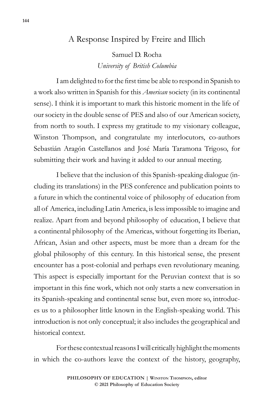## A Response Inspired by Freire and Illich

Samuel D. Rocha *University of British Columbia*

I am delighted to for the first time be able to respond in Spanish to a work also written in Spanish for this *American* society (in its continental sense). I think it is important to mark this historic moment in the life of our society in the double sense of PES and also of our American society, from north to south. I express my gratitude to my visionary colleague, Winston Thompson, and congratulate my interlocutors, co-authors Sebastián Aragón Castellanos and José María Taramona Trigoso, for submitting their work and having it added to our annual meeting.

I believe that the inclusion of this Spanish-speaking dialogue (including its translations) in the PES conference and publication points to a future in which the continental voice of philosophy of education from all of America, including Latin America, is less impossible to imagine and realize. Apart from and beyond philosophy of education, I believe that a continental philosophy of the Americas, without forgetting its Iberian, African, Asian and other aspects, must be more than a dream for the global philosophy of this century. In this historical sense, the present encounter has a post-colonial and perhaps even revolutionary meaning. This aspect is especially important for the Peruvian context that is so important in this fine work, which not only starts a new conversation in its Spanish-speaking and continental sense but, even more so, introduces us to a philosopher little known in the English-speaking world. This introduction is not only conceptual; it also includes the geographical and historical context.

For these contextual reasons I will critically highlight the moments in which the co-authors leave the context of the history, geography,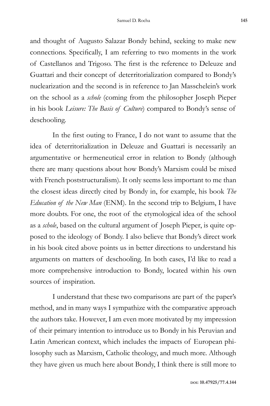and thought of Augusto Salazar Bondy behind, seeking to make new connections. Specifically, I am referring to two moments in the work of Castellanos and Trigoso. The first is the reference to Deleuze and Guattari and their concept of deterritorialization compared to Bondy's nuclearization and the second is in reference to Jan Masschelein's work on the school as a *schole* (coming from the philosopher Joseph Pieper in his book *Leisure: The Basis of Culture*) compared to Bondy's sense of deschooling.

In the first outing to France, I do not want to assume that the idea of deterritorialization in Deleuze and Guattari is necessarily an argumentative or hermeneutical error in relation to Bondy (although there are many questions about how Bondy's Marxism could be mixed with French poststructuralism). It only seems less important to me than the closest ideas directly cited by Bondy in, for example, his book *The Education of the New Man* (ENM). In the second trip to Belgium, I have more doubts. For one, the root of the etymological idea of the school as a *schole*, based on the cultural argument of Joseph Pieper, is quite opposed to the ideology of Bondy. I also believe that Bondy's direct work in his book cited above points us in better directions to understand his arguments on matters of deschooling. In both cases, I'd like to read a more comprehensive introduction to Bondy, located within his own sources of inspiration.

I understand that these two comparisons are part of the paper's method, and in many ways I sympathize with the comparative approach the authors take. However, I am even more motivated by my impression of their primary intention to introduce us to Bondy in his Peruvian and Latin American context, which includes the impacts of European philosophy such as Marxism, Catholic theology, and much more. Although they have given us much here about Bondy, I think there is still more to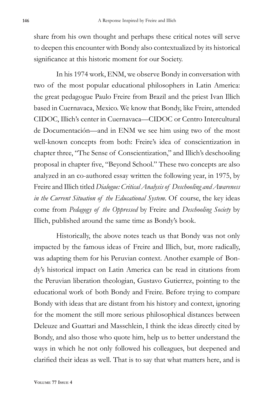share from his own thought and perhaps these critical notes will serve to deepen this encounter with Bondy also contextualized by its historical significance at this historic moment for our Society.

In his 1974 work, ENM, we observe Bondy in conversation with two of the most popular educational philosophers in Latin America: the great pedagogue Paulo Freire from Brazil and the priest Ivan Illich based in Cuernavaca, Mexico. We know that Bondy, like Freire, attended CIDOC, Illich's center in Cuernavaca—CIDOC or Centro Intercultural de Documentación—and in ENM we see him using two of the most well-known concepts from both: Freire's idea of conscientization in chapter three, "The Sense of Conscientization," and Illich's deschooling proposal in chapter five, "Beyond School." These two concepts are also analyzed in an co-authored essay written the following year, in 1975, by Freire and Illich titled *Dialogue: Critical Analysis of Deschooling and Awareness in the Current Situation of the Educational System*. Of course, the key ideas come from *Pedagogy of the Oppressed* by Freire and *Deschooling Society* by Illich, published around the same time as Bondy's book.

Historically, the above notes teach us that Bondy was not only impacted by the famous ideas of Freire and Illich, but, more radically, was adapting them for his Peruvian context. Another example of Bondy's historical impact on Latin America can be read in citations from the Peruvian liberation theologian, Gustavo Gutierrez, pointing to the educational work of both Bondy and Freire. Before trying to compare Bondy with ideas that are distant from his history and context, ignoring for the moment the still more serious philosophical distances between Deleuze and Guattari and Masschlein, I think the ideas directly cited by Bondy, and also those who quote him, help us to better understand the ways in which he not only followed his colleagues, but deepened and clarified their ideas as well. That is to say that what matters here, and is